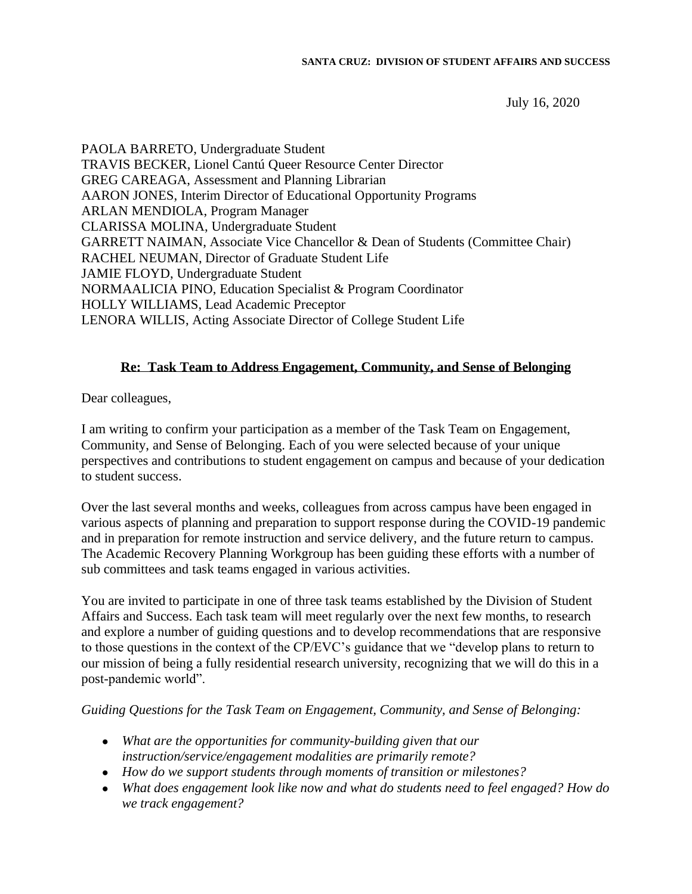July 16, 2020

PAOLA BARRETO, Undergraduate Student TRAVIS BECKER, Lionel Cantú Queer Resource Center Director GREG CAREAGA, Assessment and Planning Librarian AARON JONES, Interim Director of Educational Opportunity Programs ARLAN MENDIOLA, Program Manager CLARISSA MOLINA, Undergraduate Student GARRETT NAIMAN, Associate Vice Chancellor & Dean of Students (Committee Chair) RACHEL NEUMAN, Director of Graduate Student Life JAMIE FLOYD, Undergraduate Student NORMAALICIA PINO, Education Specialist & Program Coordinator HOLLY WILLIAMS, Lead Academic Preceptor LENORA WILLIS, Acting Associate Director of College Student Life

## **Re: Task Team to Address Engagement, Community, and Sense of Belonging**

Dear colleagues,

I am writing to confirm your participation as a member of the Task Team on Engagement, Community, and Sense of Belonging. Each of you were selected because of your unique perspectives and contributions to student engagement on campus and because of your dedication to student success.

Over the last several months and weeks, colleagues from across campus have been engaged in various aspects of planning and preparation to support response during the COVID-19 pandemic and in preparation for remote instruction and service delivery, and the future return to campus. The Academic Recovery Planning Workgroup has been guiding these efforts with a number of sub committees and task teams engaged in various activities.

You are invited to participate in one of three task teams established by the Division of Student Affairs and Success. Each task team will meet regularly over the next few months, to research and explore a number of guiding questions and to develop recommendations that are responsive to those questions in the context of the CP/EVC's guidance that we "develop plans to return to our mission of being a fully residential research university, recognizing that we will do this in a post-pandemic world".

## *Guiding Questions for the Task Team on Engagement, Community, and Sense of Belonging:*

- *What are the opportunities for community-building given that our instruction/service/engagement modalities are primarily remote?*
- *How do we support students through moments of transition or milestones?*
- *What does engagement look like now and what do students need to feel engaged? How do we track engagement?*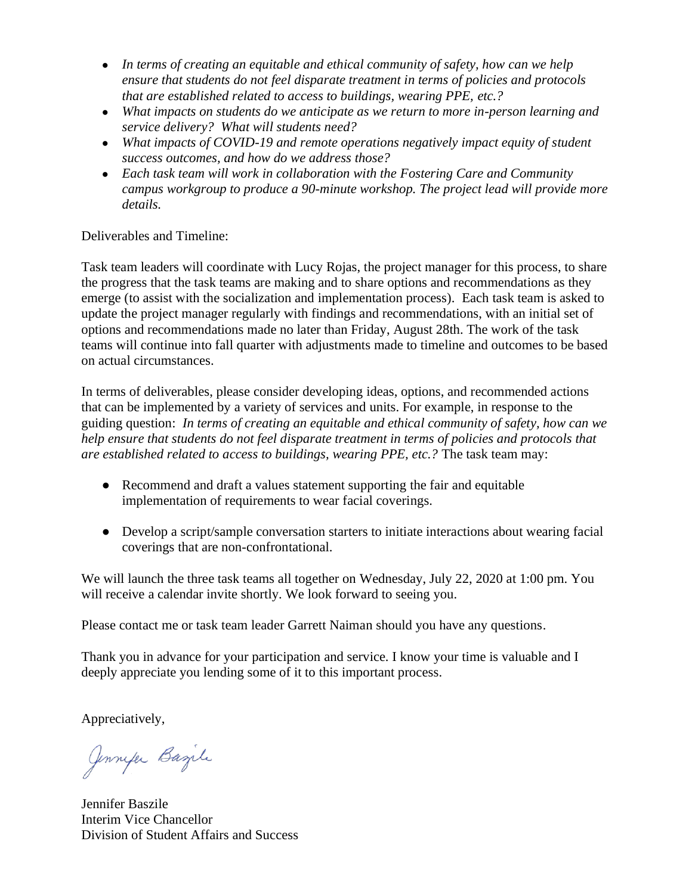- In terms of creating an equitable and ethical community of safety, how can we help *ensure that students do not feel disparate treatment in terms of policies and protocols that are established related to access to buildings, wearing PPE, etc.?*
- *What impacts on students do we anticipate as we return to more in-person learning and service delivery? What will students need?*
- *What impacts of COVID-19 and remote operations negatively impact equity of student success outcomes, and how do we address those?*
- *Each task team will work in collaboration with the Fostering Care and Community campus workgroup to produce a 90-minute workshop. The project lead will provide more details.*

## Deliverables and Timeline:

Task team leaders will coordinate with Lucy Rojas, the project manager for this process, to share the progress that the task teams are making and to share options and recommendations as they emerge (to assist with the socialization and implementation process). Each task team is asked to update the project manager regularly with findings and recommendations, with an initial set of options and recommendations made no later than Friday, August 28th. The work of the task teams will continue into fall quarter with adjustments made to timeline and outcomes to be based on actual circumstances.

In terms of deliverables, please consider developing ideas, options, and recommended actions that can be implemented by a variety of services and units. For example, in response to the guiding question: *In terms of creating an equitable and ethical community of safety, how can we help ensure that students do not feel disparate treatment in terms of policies and protocols that are established related to access to buildings, wearing PPE, etc.?* The task team may:

- Recommend and draft a values statement supporting the fair and equitable implementation of requirements to wear facial coverings.
- Develop a script/sample conversation starters to initiate interactions about wearing facial coverings that are non-confrontational.

We will launch the three task teams all together on Wednesday, July 22, 2020 at 1:00 pm. You will receive a calendar invite shortly. We look forward to seeing you.

Please contact me or task team leader Garrett Naiman should you have any questions.

Thank you in advance for your participation and service. I know your time is valuable and I deeply appreciate you lending some of it to this important process.

Appreciatively,

Jennyer Bazile

Jennifer Baszile Interim Vice Chancellor Division of Student Affairs and Success